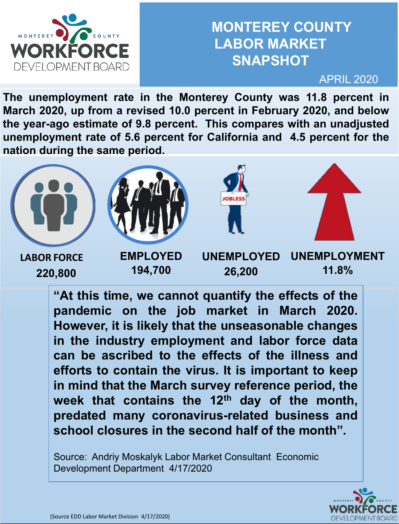

### **MONTEREY COUNTY LABOR MARKET SNAPSHOT**

APRIL 2020

**The unemployment rate in the Monterey County was 11.8 percent in March 2020, up from a revised 10.0 percent in February 2020, and below the year-ago estimate of 9.8 percent. This compares with an unadjusted unemployment rate of 5.6 percent for California and 4.5 percent for the nation during the same period.**



**"At this time, we cannot quantify the effects of the pandemic on the job market in March 2020. However, it is likely that the unseasonable changes in the industry employment and labor force data can be ascribed to the effects of the illness and efforts to contain the virus. It is important to keep in mind that the March survey reference period, the week that contains the 12th day of the month, predated many coronavirus-related business and school closures in the second half of the month".**

Source: Andriy Moskalyk Labor Market Consultant Economic Development Department 4/17/2020

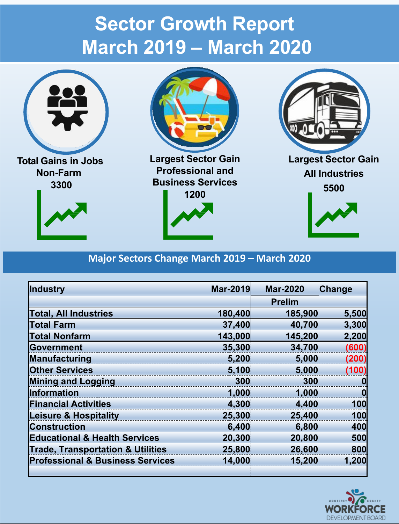## **Sector Growth Report March 2019 – March 2020**



**Non-Farm 3300**





**Largest Sector Gain Professional and Business Services**





#### **Major Sectors Change March 2019 – March 2020**

| Industry                                     | <b>Mar-2019</b> | <b>Mar-2020</b> | Change |
|----------------------------------------------|-----------------|-----------------|--------|
|                                              |                 | <b>Prelim</b>   |        |
| <b>Total, All Industries</b>                 | 180,400         | 185,900         | 5,500  |
| <b>Total Farm</b>                            | 37,400          | 40,700          | 3,300  |
| <b>Total Nonfarm</b>                         | 143,000         | 145,200         | 2,200  |
| Government                                   | 35,300          | 34,700          | (600)  |
| Manufacturing                                | 5,200           | 5,000           | (200)  |
| <b>Other Services</b>                        | 5,100           | 5,000           | (100)  |
| <b>Mining and Logging</b>                    | 300             | 300             |        |
| <b>Information</b>                           | 1,000           | 1,000           |        |
| <b>Financial Activities</b>                  | 4,300           | 4,400           | 100    |
| <b>Leisure &amp; Hospitality</b>             | 25,300          | 25,400          | 100    |
| <b>Construction</b>                          | 6,400           | 6,800           | 400    |
| <b>Educational &amp; Health Services</b>     | 20,300          | 20,800          | 500    |
| <b>Trade, Transportation &amp; Utilities</b> | 25,800          | 26,600          | 800    |
| <b>Professional &amp; Business Services</b>  | 14,000          | 15,200          | 1,200  |
|                                              |                 |                 |        |

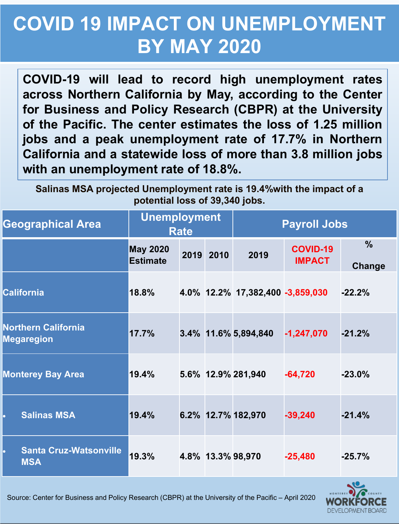## **COVID 19 IMPACT ON UNEMPLOYMENT BY MAY 2020**

**COVID-19 will lead to record high unemployment rates across Northern California by May, according to the Center for Business and Policy Research (CBPR) at the University of the Pacific. The center estimates the loss of 1.25 million jobs and a peak unemployment rate of 17.7% in Northern California and a statewide loss of more than 3.8 million jobs with an unemployment rate of 18.8%.**

**Salinas MSA projected Unemployment rate is 19.4%with the impact of a potential loss of 39,340 jobs.**

| <b>Geographical Area</b>                        | <b>Unemployment</b><br><b>Rate</b> |  | <b>Payroll Jobs</b> |                                  |                                  |                         |
|-------------------------------------------------|------------------------------------|--|---------------------|----------------------------------|----------------------------------|-------------------------|
|                                                 | <b>May 2020</b><br><b>Estimate</b> |  | 2019 2010           | 2019                             | <b>COVID-19</b><br><b>IMPACT</b> | $\frac{0}{0}$<br>Change |
| <b>California</b>                               | 18.8%                              |  |                     | 4.0% 12.2% 17,382,400 -3,859,030 |                                  | $-22.2%$                |
| <b>Northern California</b><br><b>Megaregion</b> | 17.7%                              |  |                     | 3.4% 11.6% 5,894,840             | $-1,247,070$                     | $-21.2%$                |
| <b>Monterey Bay Area</b>                        | 19.4%                              |  |                     | 5.6% 12.9% 281,940               | $-64,720$                        | $-23.0%$                |
| <b>Salinas MSA</b>                              | 19.4%                              |  |                     | 6.2% 12.7% 182,970               | $-39,240$                        | $-21.4%$                |
| <b>Santa Cruz-Watsonville</b><br><b>MSA</b>     | 19.3%                              |  |                     | 4.8% 13.3% 98,970                | $-25,480$                        | $-25.7%$                |



Source: Center for Business and Policy Research (CBPR) at the University of the Pacific – April 2020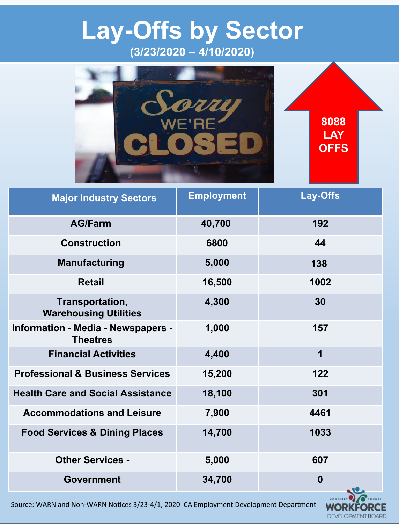## **Lay-Offs by Sector (3/23/2020 – 4/10/2020)**



| <b>Major Industry Sectors</b>                                | <b>Employment</b> | <b>Lay-Offs</b>               |
|--------------------------------------------------------------|-------------------|-------------------------------|
| <b>AG/Farm</b>                                               | 40,700            | 192                           |
| <b>Construction</b>                                          | 6800              | 44                            |
| <b>Manufacturing</b>                                         | 5,000             | 138                           |
| <b>Retail</b>                                                | 16,500            | 1002                          |
| Transportation,<br><b>Warehousing Utilities</b>              | 4,300             | 30                            |
| <b>Information - Media - Newspapers -</b><br><b>Theatres</b> | 1,000             | 157                           |
| <b>Financial Activities</b>                                  | 4,400             | 1                             |
| <b>Professional &amp; Business Services</b>                  | 15,200            | 122                           |
| <b>Health Care and Social Assistance</b>                     | 18,100            | 301                           |
| <b>Accommodations and Leisure</b>                            | 7,900             | 4461                          |
| <b>Food Services &amp; Dining Places</b>                     | 14,700            | 1033                          |
| <b>Other Services -</b>                                      | 5,000             | 607                           |
| <b>Government</b>                                            | 34,700            | $\boldsymbol{0}$<br>$\bullet$ |

Source: WARN and Non-WARN Notices 3/23-4/1, 2020 CA Employment Development Department

WOR

DEVELOPMENT BOARD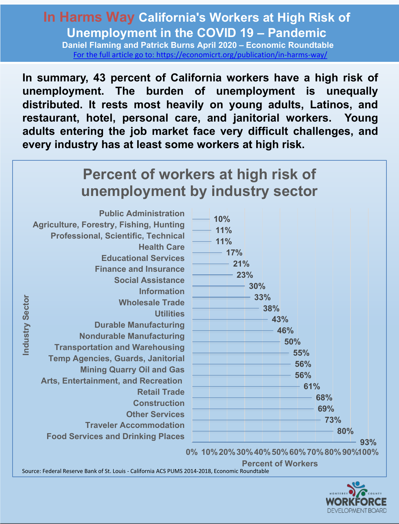### **In Harms Way California's Workers at High Risk of Unemployment in the COVID 19 – Pandemic**

**Daniel Flaming and Patrick Burns April 2020 – Economic Roundtable** [For the full article go to: https://economicrt.org/publication/in-harms-way/](https://economicrt.org/publication/in-harms-way/)

**In summary, 43 percent of California workers have a high risk of unemployment. The burden of unemployment is unequally distributed. It rests most heavily on young adults, Latinos, and restaurant, hotel, personal care, and janitorial workers. Young adults entering the job market face very difficult challenges, and every industry has at least some workers at high risk.**

### **Percent of workers at high risk of unemployment by industry sector**

| <b>Public Administration</b><br>10%<br><b>Agriculture, Forestry, Fishing, Hunting</b><br>11%<br><b>Professional, Scientific, Technical</b><br>11%<br><b>Health Care</b><br>17%<br><b>Educational Services</b><br>21%<br><b>Finance and Insurance</b><br>23%<br><b>Social Assistance</b><br>30%<br><b>Information</b><br>33%<br>Industry Sector<br><b>Wholesale Trade</b><br>38%<br><b>Utilities</b><br>43%<br><b>Durable Manufacturing</b><br>46%<br><b>Nondurable Manufacturing</b><br>50%<br><b>Transportation and Warehousing</b><br>55%<br><b>Temp Agencies, Guards, Janitorial</b><br>56%<br><b>Mining Quarry Oil and Gas</b><br>56%<br><b>Arts, Entertainment, and Recreation</b><br>61%<br><b>Retail Trade</b><br>68%<br><b>Construction</b><br><b>Other Services</b><br><b>Traveler Accommodation</b><br><b>Food Services and Drinking Places</b><br>0% 10% 20% 30% 40% 50% 60% 70% 80% 90%100% | 69%<br><b>73%</b><br>80%<br>93% |
|---------------------------------------------------------------------------------------------------------------------------------------------------------------------------------------------------------------------------------------------------------------------------------------------------------------------------------------------------------------------------------------------------------------------------------------------------------------------------------------------------------------------------------------------------------------------------------------------------------------------------------------------------------------------------------------------------------------------------------------------------------------------------------------------------------------------------------------------------------------------------------------------------------|---------------------------------|
|---------------------------------------------------------------------------------------------------------------------------------------------------------------------------------------------------------------------------------------------------------------------------------------------------------------------------------------------------------------------------------------------------------------------------------------------------------------------------------------------------------------------------------------------------------------------------------------------------------------------------------------------------------------------------------------------------------------------------------------------------------------------------------------------------------------------------------------------------------------------------------------------------------|---------------------------------|

**Percent of Workers**

Source: Federal Reserve Bank of St. Louis - California ACS PUMS 2014-2018, Economic Roundtable